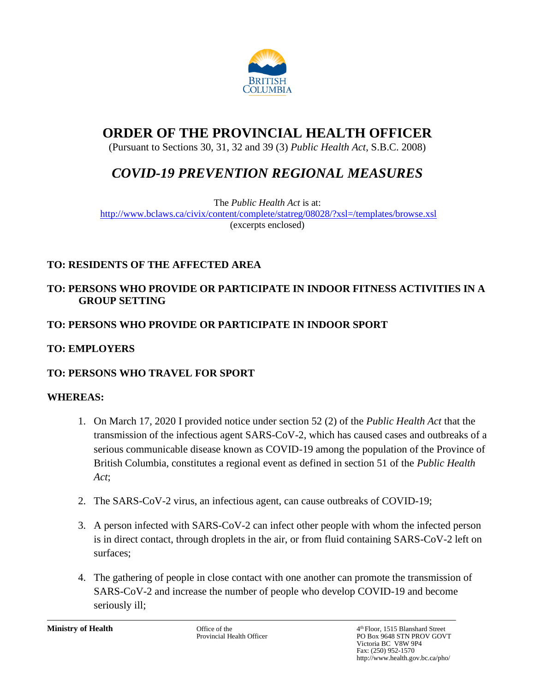

# **ORDER OF THE PROVINCIAL HEALTH OFFICER**

(Pursuant to Sections 30, 31, 32 and 39 (3) *Public Health Act*, S.B.C. 2008)

# *COVID-19 PREVENTION REGIONAL MEASURES*

The *Public Health Act* is at: <http://www.bclaws.ca/civix/content/complete/statreg/08028/?xsl=/templates/browse.xsl> (excerpts enclosed)

# **TO: RESIDENTS OF THE AFFECTED AREA**

## **TO: PERSONS WHO PROVIDE OR PARTICIPATE IN INDOOR FITNESS ACTIVITIES IN A GROUP SETTING**

# **TO: PERSONS WHO PROVIDE OR PARTICIPATE IN INDOOR SPORT**

## **TO: EMPLOYERS**

## **TO: PERSONS WHO TRAVEL FOR SPORT**

## **WHEREAS:**

- 1. On March 17, 2020 I provided notice under section 52 (2) of the *Public Health Act* that the transmission of the infectious agent SARS-CoV-2, which has caused cases and outbreaks of a serious communicable disease known as COVID-19 among the population of the Province of British Columbia, constitutes a regional event as defined in section 51 of the *Public Health Act*;
- 2. The SARS-CoV-2 virus, an infectious agent, can cause outbreaks of COVID-19;
- 3. A person infected with SARS-CoV-2 can infect other people with whom the infected person is in direct contact, through droplets in the air, or from fluid containing SARS-CoV-2 left on surfaces;
- 4. The gathering of people in close contact with one another can promote the transmission of SARS-CoV-2 and increase the number of people who develop COVID-19 and become seriously ill;

**Ministry of Health** Office of the 4 Office of the 4 Officer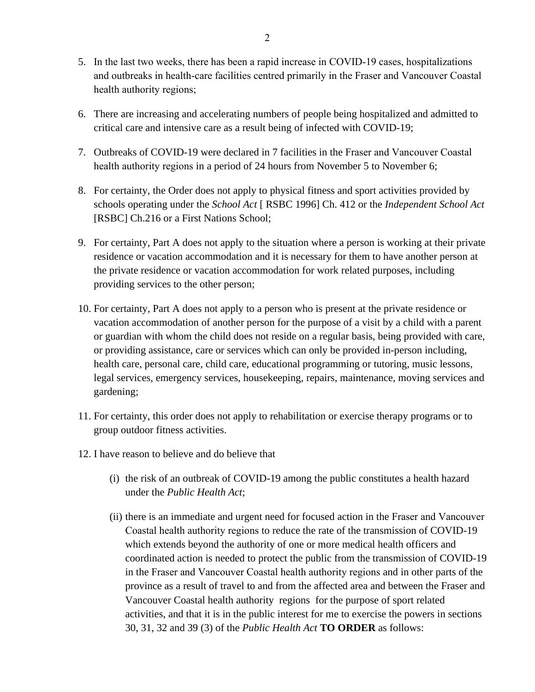- 5. In the last two weeks, there has been a rapid increase in COVID-19 cases, hospitalizations and outbreaks in health-care facilities centred primarily in the Fraser and Vancouver Coastal health authority regions;
- 6. There are increasing and accelerating numbers of people being hospitalized and admitted to critical care and intensive care as a result being of infected with COVID-19;
- 7. Outbreaks of COVID-19 were declared in 7 facilities in the Fraser and Vancouver Coastal health authority regions in a period of 24 hours from November 5 to November 6;
- 8. For certainty, the Order does not apply to physical fitness and sport activities provided by schools operating under the *School Act* [ RSBC 1996] Ch. 412 or the *Independent School Act* [RSBC] Ch.216 or a First Nations School;
- 9. For certainty, Part A does not apply to the situation where a person is working at their private residence or vacation accommodation and it is necessary for them to have another person at the private residence or vacation accommodation for work related purposes, including providing services to the other person;
- 10. For certainty, Part A does not apply to a person who is present at the private residence or vacation accommodation of another person for the purpose of a visit by a child with a parent or guardian with whom the child does not reside on a regular basis, being provided with care, or providing assistance, care or services which can only be provided in-person including, health care, personal care, child care, educational programming or tutoring, music lessons, legal services, emergency services, housekeeping, repairs, maintenance, moving services and gardening;
- 11. For certainty, this order does not apply to rehabilitation or exercise therapy programs or to group outdoor fitness activities.
- 12. I have reason to believe and do believe that
	- (i) the risk of an outbreak of COVID-19 among the public constitutes a health hazard under the *Public Health Act*;
	- (ii) there is an immediate and urgent need for focused action in the Fraser and Vancouver Coastal health authority regions to reduce the rate of the transmission of COVID-19 which extends beyond the authority of one or more medical health officers and coordinated action is needed to protect the public from the transmission of COVID-19 in the Fraser and Vancouver Coastal health authority regions and in other parts of the province as a result of travel to and from the affected area and between the Fraser and Vancouver Coastal health authority regions for the purpose of sport related activities, and that it is in the public interest for me to exercise the powers in sections 30, 31, 32 and 39 (3) of the *Public Health Act* **TO ORDER** as follows: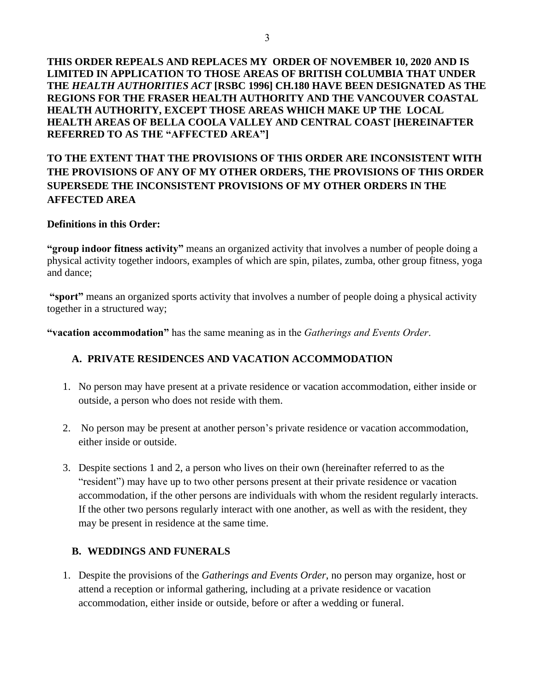**THIS ORDER REPEALS AND REPLACES MY ORDER OF NOVEMBER 10, 2020 AND IS LIMITED IN APPLICATION TO THOSE AREAS OF BRITISH COLUMBIA THAT UNDER THE** *HEALTH AUTHORITIES ACT* **[RSBC 1996] CH.180 HAVE BEEN DESIGNATED AS THE REGIONS FOR THE FRASER HEALTH AUTHORITY AND THE VANCOUVER COASTAL HEALTH AUTHORITY, EXCEPT THOSE AREAS WHICH MAKE UP THE LOCAL HEALTH AREAS OF BELLA COOLA VALLEY AND CENTRAL COAST [HEREINAFTER REFERRED TO AS THE "AFFECTED AREA"]**

## **TO THE EXTENT THAT THE PROVISIONS OF THIS ORDER ARE INCONSISTENT WITH THE PROVISIONS OF ANY OF MY OTHER ORDERS, THE PROVISIONS OF THIS ORDER SUPERSEDE THE INCONSISTENT PROVISIONS OF MY OTHER ORDERS IN THE AFFECTED AREA**

#### **Definitions in this Order:**

**"group indoor fitness activity"** means an organized activity that involves a number of people doing a physical activity together indoors, examples of which are spin, pilates, zumba, other group fitness, yoga and dance;

**"sport"** means an organized sports activity that involves a number of people doing a physical activity together in a structured way;

**"vacation accommodation"** has the same meaning as in the *Gatherings and Events Order*.

## **A. PRIVATE RESIDENCES AND VACATION ACCOMMODATION**

- 1. No person may have present at a private residence or vacation accommodation, either inside or outside, a person who does not reside with them.
- 2. No person may be present at another person's private residence or vacation accommodation, either inside or outside.
- 3. Despite sections 1 and 2, a person who lives on their own (hereinafter referred to as the "resident") may have up to two other persons present at their private residence or vacation accommodation, if the other persons are individuals with whom the resident regularly interacts. If the other two persons regularly interact with one another, as well as with the resident, they may be present in residence at the same time.

#### **B. WEDDINGS AND FUNERALS**

1. Despite the provisions of the *Gatherings and Events Order*, no person may organize, host or attend a reception or informal gathering, including at a private residence or vacation accommodation, either inside or outside, before or after a wedding or funeral.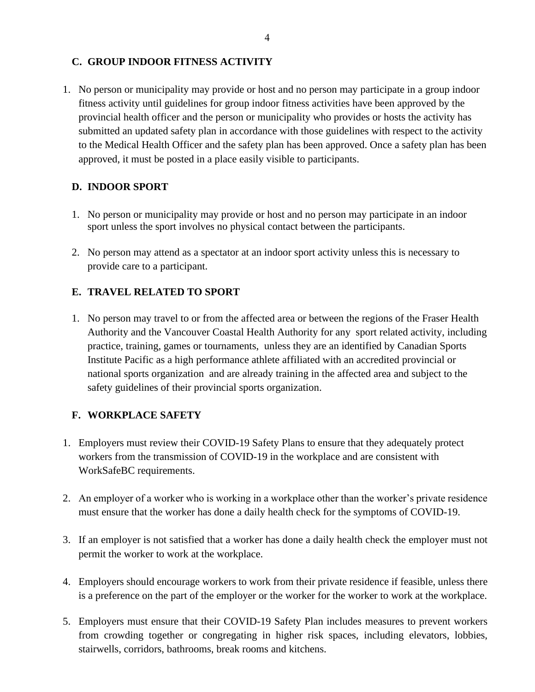## **C. GROUP INDOOR FITNESS ACTIVITY**

1. No person or municipality may provide or host and no person may participate in a group indoor fitness activity until guidelines for group indoor fitness activities have been approved by the provincial health officer and the person or municipality who provides or hosts the activity has submitted an updated safety plan in accordance with those guidelines with respect to the activity to the Medical Health Officer and the safety plan has been approved. Once a safety plan has been approved, it must be posted in a place easily visible to participants.

## **D. INDOOR SPORT**

- 1. No person or municipality may provide or host and no person may participate in an indoor sport unless the sport involves no physical contact between the participants.
- 2. No person may attend as a spectator at an indoor sport activity unless this is necessary to provide care to a participant.

## **E. TRAVEL RELATED TO SPORT**

1. No person may travel to or from the affected area or between the regions of the Fraser Health Authority and the Vancouver Coastal Health Authority for any sport related activity, including practice, training, games or tournaments, unless they are an identified by Canadian Sports Institute Pacific as a high performance athlete affiliated with an accredited provincial or national sports organization and are already training in the affected area and subject to the safety guidelines of their provincial sports organization.

## **F. WORKPLACE SAFETY**

- 1. Employers must review their COVID-19 Safety Plans to ensure that they adequately protect workers from the transmission of COVID-19 in the workplace and are consistent with WorkSafeBC requirements.
- 2. An employer of a worker who is working in a workplace other than the worker's private residence must ensure that the worker has done a daily health check for the symptoms of COVID-19.
- 3. If an employer is not satisfied that a worker has done a daily health check the employer must not permit the worker to work at the workplace.
- 4. Employers should encourage workers to work from their private residence if feasible, unless there is a preference on the part of the employer or the worker for the worker to work at the workplace.
- 5. Employers must ensure that their COVID-19 Safety Plan includes measures to prevent workers from crowding together or congregating in higher risk spaces, including elevators, lobbies, stairwells, corridors, bathrooms, break rooms and kitchens.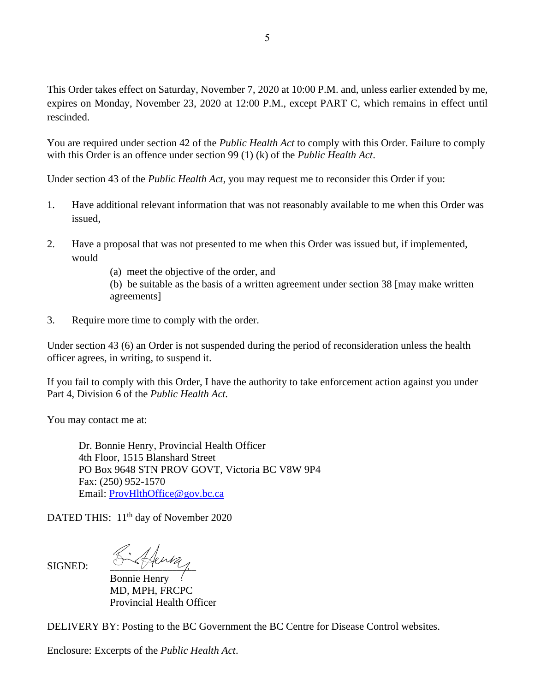This Order takes effect on Saturday, November 7, 2020 at 10:00 P.M. and, unless earlier extended by me, expires on Monday, November 23, 2020 at 12:00 P.M., except PART C, which remains in effect until rescinded.

You are required under section 42 of the *Public Health Act* to comply with this Order. Failure to comply with this Order is an offence under section 99 (1) (k) of the *Public Health Act*.

Under section 43 of the *Public Health Act,* you may request me to reconsider this Order if you:

- 1. Have additional relevant information that was not reasonably available to me when this Order was issued,
- 2. Have a proposal that was not presented to me when this Order was issued but, if implemented, would
	- (a) meet the objective of the order, and
	- (b) be suitable as the basis of a written agreement under section 38 [may make written agreements]
- 3. Require more time to comply with the order.

Under section 43 (6) an Order is not suspended during the period of reconsideration unless the health officer agrees, in writing, to suspend it.

If you fail to comply with this Order, I have the authority to take enforcement action against you under Part 4, Division 6 of the *Public Health Act.*

You may contact me at:

SIGNED:

Dr. Bonnie Henry, Provincial Health Officer 4th Floor, 1515 Blanshard Street PO Box 9648 STN PROV GOVT, Victoria BC V8W 9P4 Fax: (250) 952-1570 Email: [ProvHlthOffice@gov.bc.ca](mailto:ProvHlthOffice@gov.bc.ca)

DATED THIS: 11<sup>th</sup> day of November 2020

Bonnie Henry MD, MPH, FRCPC Provincial Health Officer

DELIVERY BY: Posting to the BC Government the BC Centre for Disease Control websites.

Enclosure: Excerpts of the *Public Health Act*.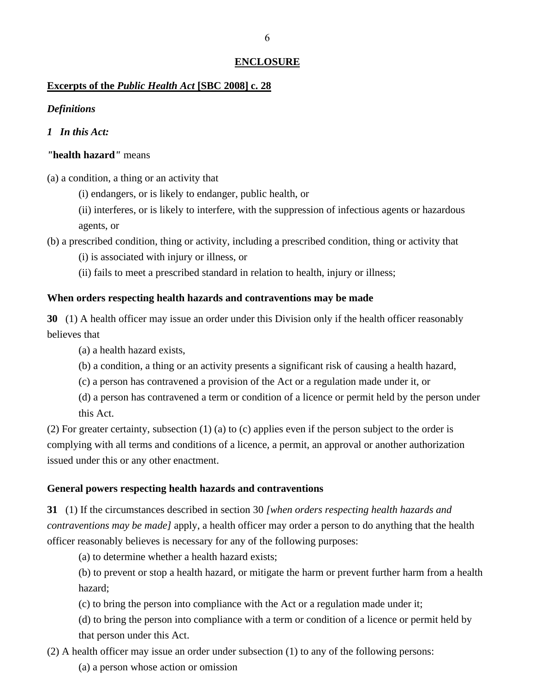#### **ENCLOSURE**

## **Excerpts of the** *Public Health Act* **[SBC 2008] c. 28**

## *Definitions*

## *1 In this Act:*

## *"***health hazard***"* means

(a) a condition, a thing or an activity that

(i) endangers, or is likely to endanger, public health, or

(ii) interferes, or is likely to interfere, with the suppression of infectious agents or hazardous agents, or

(b) a prescribed condition, thing or activity, including a prescribed condition, thing or activity that

(i) is associated with injury or illness, or

(ii) fails to meet a prescribed standard in relation to health, injury or illness;

## **When orders respecting health hazards and contraventions may be made**

**30** (1) A health officer may issue an order under this Division only if the health officer reasonably believes that

(a) a health hazard exists,

(b) a condition, a thing or an activity presents a significant risk of causing a health hazard,

(c) a person has contravened a provision of the Act or a regulation made under it, or

(d) a person has contravened a term or condition of a licence or permit held by the person under this Act.

(2) For greater certainty, subsection (1) (a) to (c) applies even if the person subject to the order is complying with all terms and conditions of a licence, a permit, an approval or another authorization issued under this or any other enactment.

## **General powers respecting health hazards and contraventions**

**31** (1) If the circumstances described in section 30 *[when orders respecting health hazards and contraventions may be made]* apply, a health officer may order a person to do anything that the health officer reasonably believes is necessary for any of the following purposes:

(a) to determine whether a health hazard exists;

(b) to prevent or stop a health hazard, or mitigate the harm or prevent further harm from a health hazard;

(c) to bring the person into compliance with the Act or a regulation made under it;

(d) to bring the person into compliance with a term or condition of a licence or permit held by that person under this Act.

(2) A health officer may issue an order under subsection (1) to any of the following persons:

(a) a person whose action or omission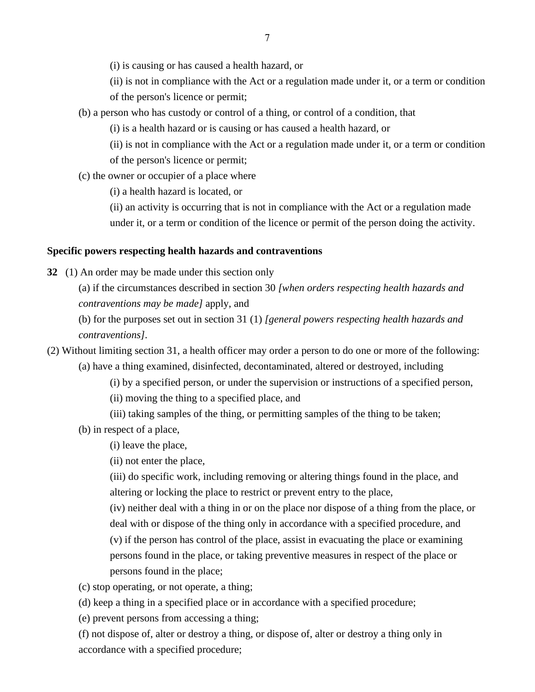(i) is causing or has caused a health hazard, or

(ii) is not in compliance with the Act or a regulation made under it, or a term or condition of the person's licence or permit;

(b) a person who has custody or control of a thing, or control of a condition, that

(i) is a health hazard or is causing or has caused a health hazard, or

(ii) is not in compliance with the Act or a regulation made under it, or a term or condition of the person's licence or permit;

(c) the owner or occupier of a place where

(i) a health hazard is located, or

(ii) an activity is occurring that is not in compliance with the Act or a regulation made

under it, or a term or condition of the licence or permit of the person doing the activity.

#### **Specific powers respecting health hazards and contraventions**

**32** (1) An order may be made under this section only

(a) if the circumstances described in section 30 *[when orders respecting health hazards and contraventions may be made]* apply, and

(b) for the purposes set out in section 31 (1) *[general powers respecting health hazards and contraventions]*.

(2) Without limiting section 31, a health officer may order a person to do one or more of the following: (a) have a thing examined, disinfected, decontaminated, altered or destroyed, including

(i) by a specified person, or under the supervision or instructions of a specified person,

(ii) moving the thing to a specified place, and

(iii) taking samples of the thing, or permitting samples of the thing to be taken;

(b) in respect of a place,

(i) leave the place,

(ii) not enter the place,

(iii) do specific work, including removing or altering things found in the place, and altering or locking the place to restrict or prevent entry to the place,

(iv) neither deal with a thing in or on the place nor dispose of a thing from the place, or deal with or dispose of the thing only in accordance with a specified procedure, and (v) if the person has control of the place, assist in evacuating the place or examining persons found in the place, or taking preventive measures in respect of the place or persons found in the place;

(c) stop operating, or not operate, a thing;

(d) keep a thing in a specified place or in accordance with a specified procedure;

(e) prevent persons from accessing a thing;

(f) not dispose of, alter or destroy a thing, or dispose of, alter or destroy a thing only in accordance with a specified procedure;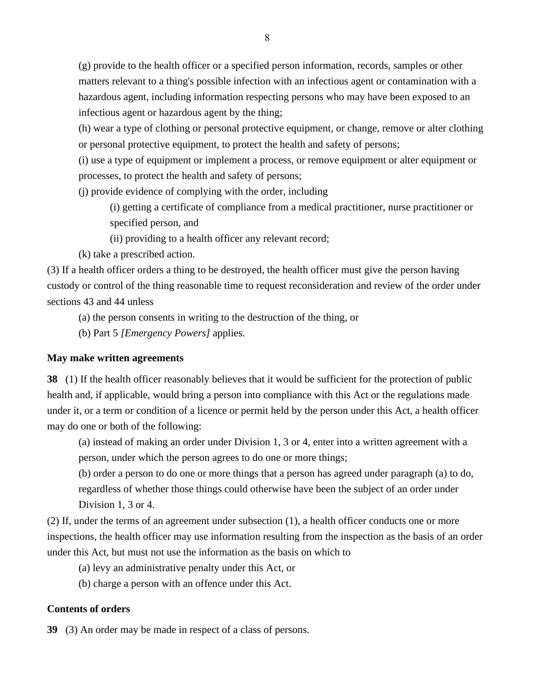(g) provide to the health officer or a specified person information, records, samples or other matters relevant to a thing's possible infection with an infectious agent or contamination with a hazardous agent, including information respecting persons who may have been exposed to an infectious agent or hazardous agent by the thing;

(h) wear a type of clothing or personal protective equipment, or change, remove or alter clothing or personal protective equipment, to protect the health and safety of persons;

(i) use a type of equipment or implement a process, or remove equipment or alter equipment or processes, to protect the health and safety of persons;

(j) provide evidence of complying with the order, including

(i) getting a certificate of compliance from a medical practitioner, nurse practitioner or specified person, and

(ii) providing to a health officer any relevant record;

(k) take a prescribed action.

(3) If a health officer orders a thing to be destroyed, the health officer must give the person having custody or control of the thing reasonable time to request reconsideration and review of the order under sections 43 and 44 unless

(a) the person consents in writing to the destruction of the thing, or

(b) Part 5 *[Emergency Powers]* applies.

#### **May make written agreements**

**38** (1) If the health officer reasonably believes that it would be sufficient for the protection of public health and, if applicable, would bring a person into compliance with this Act or the regulations made under it, or a term or condition of a licence or permit held by the person under this Act, a health officer may do one or both of the following:

(a) instead of making an order under Division 1, 3 or 4, enter into a written agreement with a person, under which the person agrees to do one or more things;

(b) order a person to do one or more things that a person has agreed under paragraph (a) to do, regardless of whether those things could otherwise have been the subject of an order under Division 1, 3 or 4.

(2) If, under the terms of an agreement under subsection (1), a health officer conducts one or more inspections, the health officer may use information resulting from the inspection as the basis of an order under this Act, but must not use the information as the basis on which to

(a) levy an administrative penalty under this Act, or

(b) charge a person with an offence under this Act.

## **Contents of orders**

**39** (3) An order may be made in respect of a class of persons.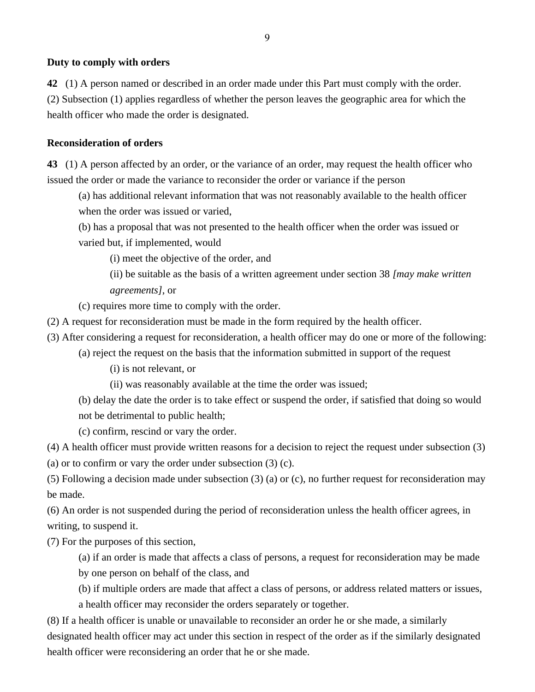#### **Duty to comply with orders**

**42** (1) A person named or described in an order made under this Part must comply with the order.

(2) Subsection (1) applies regardless of whether the person leaves the geographic area for which the health officer who made the order is designated.

#### **Reconsideration of orders**

**43** (1) A person affected by an order, or the variance of an order, may request the health officer who issued the order or made the variance to reconsider the order or variance if the person

(a) has additional relevant information that was not reasonably available to the health officer when the order was issued or varied,

(b) has a proposal that was not presented to the health officer when the order was issued or varied but, if implemented, would

(i) meet the objective of the order, and

(ii) be suitable as the basis of a written agreement under section 38 *[may make written agreements]*, or

(c) requires more time to comply with the order.

- (2) A request for reconsideration must be made in the form required by the health officer.
- (3) After considering a request for reconsideration, a health officer may do one or more of the following:
	- (a) reject the request on the basis that the information submitted in support of the request

(i) is not relevant, or

- (ii) was reasonably available at the time the order was issued;
- (b) delay the date the order is to take effect or suspend the order, if satisfied that doing so would

not be detrimental to public health;

(c) confirm, rescind or vary the order.

(4) A health officer must provide written reasons for a decision to reject the request under subsection (3)

(a) or to confirm or vary the order under subsection (3) (c).

(5) Following a decision made under subsection (3) (a) or (c), no further request for reconsideration may be made.

(6) An order is not suspended during the period of reconsideration unless the health officer agrees, in writing, to suspend it.

(7) For the purposes of this section,

(a) if an order is made that affects a class of persons, a request for reconsideration may be made by one person on behalf of the class, and

(b) if multiple orders are made that affect a class of persons, or address related matters or issues,

a health officer may reconsider the orders separately or together.

(8) If a health officer is unable or unavailable to reconsider an order he or she made, a similarly designated health officer may act under this section in respect of the order as if the similarly designated health officer were reconsidering an order that he or she made.